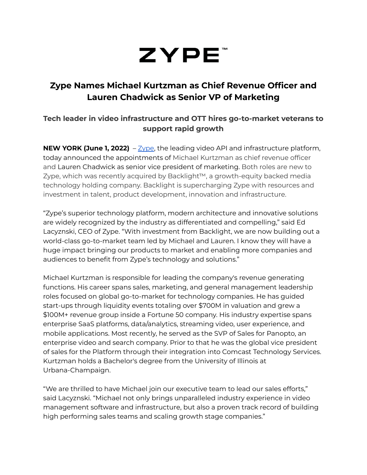# ZYPE<sup>®</sup>

## **Zype Names Michael Kurtzman as Chief Revenue Officer and Lauren Chadwick as Senior VP of Marketing**

## **Tech leader in video infrastructure and OTT hires go-to-market veterans to support rapid growth**

**NEW YORK (June 1, 2022)** – [Zype](https://c212.net/c/link/?t=0&l=en&o=3360264-1&h=1359354991&u=https%3A%2F%2Fwww.zype.com%2F&a=Zype), the leading video API and infrastructure platform, today announced the appointments of Michael Kurtzman as chief revenue officer and Lauren Chadwick as senior vice president of marketing. Both roles are new to Zype, which was recently acquired by Backlight™, a growth-equity backed media technology holding company. Backlight is supercharging Zype with resources and investment in talent, product development, innovation and infrastructure.

"Zype's superior technology platform, modern architecture and innovative solutions are widely recognized by the industry as differentiated and compelling," said Ed Lacyznski, CEO of Zype. "With investment from Backlight, we are now building out a world-class go-to-market team led by Michael and Lauren. I know they will have a huge impact bringing our products to market and enabling more companies and audiences to benefit from Zype's technology and solutions."

Michael Kurtzman is responsible for leading the company's revenue generating functions. His career spans sales, marketing, and general management leadership roles focused on global go-to-market for technology companies. He has guided start-ups through liquidity events totaling over \$700M in valuation and grew a \$100M+ revenue group inside a Fortune 50 company. His industry expertise spans enterprise SaaS platforms, data/analytics, streaming video, user experience, and mobile applications. Most recently, he served as the SVP of Sales for Panopto, an enterprise video and search company. Prior to that he was the global vice president of sales for the Platform through their integration into Comcast Technology Services. Kurtzman holds a Bachelor's degree from the University of Illinois at Urbana-Champaign.

"We are thrilled to have Michael join our executive team to lead our sales efforts," said Lacyznski. "Michael not only brings unparalleled industry experience in video management software and infrastructure, but also a proven track record of building high performing sales teams and scaling growth stage companies."